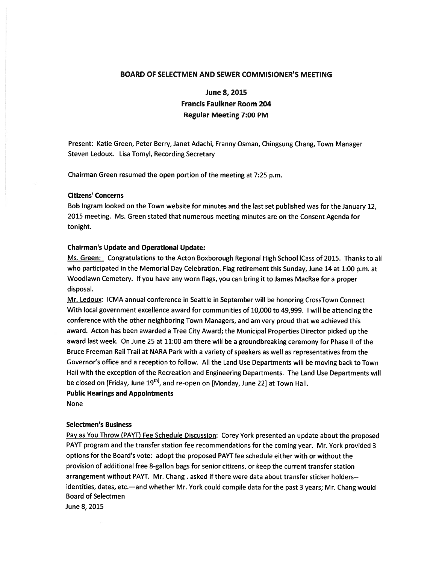## BOARD OF SELECTMEN AND SEWER COMMISIONER'S MEETING

# June 8, 2015 Francis Faulkner Room 204 Regular Meeting 7:00 PM

Present: Katie Green, Peter Berry, Janet Adachi, Franny Osman, Chingsung Chang, Town Manager Steven Ledoux. Lisa Tomyl, Recording Secretary

Chairman Green resumed the open portion of the meeting at 7:25 p.m.

#### Citizens' Concerns

Bob Ingram looked on the Town website for minutes and the last set published was for the January 12, 2015 meeting. Ms. Green stated that numerous meeting minutes are on the Consent Agenda for tonight.

#### Chairman's Update and Operational Update:

Ms. Green: Congratulations to the Acton Boxborough Regional High School ICass of 2015. Thanks to all who participated in the Memorial Day Celebration. Flag retirement this Sunday, June <sup>14</sup> at 1:00 p.m. at Woodlawn Cemetery. If you have any worn flags, you can bring it to James MacRae for <sup>a</sup> proper disposal.

Mr. Ledoux: ICMA annual conference in Seattle in September will be honoring CrossTown Connect With local governmen<sup>t</sup> excellence award for communities of 10,000 to 49,999. <sup>I</sup> will be attending the conference with the other neighboring Town Managers, and am very proud that we achieved this award. Acton has been awarded <sup>a</sup> Tree City Award; the Municipal Properties Director <sup>p</sup>icked up the award last week. On June 25 at 11:00 am there will be <sup>a</sup> groundbreaking ceremony for Phase II of the Bruce Freeman Rail Trail at NARA Park with <sup>a</sup> variety of speakers as well as representatives from the Governor's office and <sup>a</sup> reception to follow. All the Land Use Departments will be moving back to Town Hall with the exception of the Recreation and Engineering Departments. The Land Use Departments will be closed on [Friday, June 19<sup>th]</sup>, and re-open on [Monday, June 22] at Town Hall.

Public Hearings and Appointments

None

#### Selectmen's Business

Pay as You Throw (PAYT) Fee Schedule Discussion: Corey York presented an update about the propose<sup>d</sup> PAYT program and the transfer station fee recommendations for the coming year. Mr. York provided <sup>3</sup> options for the Board's vote: adopt the proposed PAYT fee schedule either with or without the provision of additional free 8-gallon bags for senior citizens, or keep the current transfer station arrangemen<sup>t</sup> without PAYT. Mr. Chang. asked if there were data about transfer sticker holdersidentities, dates, etc.—and whether Mr. York could compile data for the pas<sup>t</sup> <sup>3</sup> years; Mr. Chang would Board of Selectmen

June 8, 2015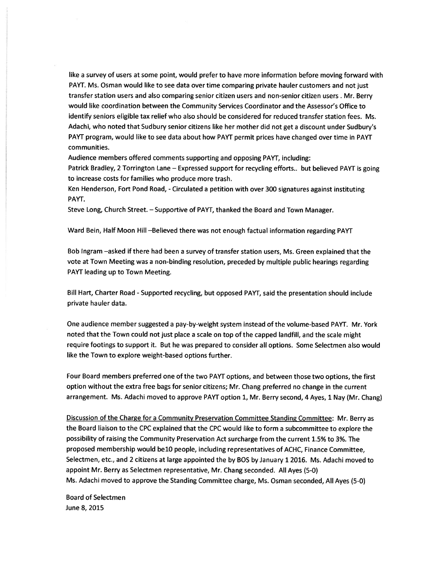like <sup>a</sup> survey of users at some point, would prefer to have more information before moving forward with PAYT. Ms. Osman would like to see data over time comparing private hauler customers and not just transfer station users and also comparing senior citizen users and non-senior citizen users . Mr. Berry would like coordination between the Community Services Coordinator and the Assessor's Office to identify seniors eligible tax relief who also should be considered for reduced transfer station fees. Ms. Adachi, who noted that Sudbury senior citizens like her mother did not ge<sup>t</sup> <sup>a</sup> discount under Sudbury's PAYT program, would like to see data about how PAYT permit prices have changed over time in PAYT communities.

Audience members offered comments supporting and opposing PAYT, including:

Patrick Bradley, 2 Torrington Lane — Expressed suppor<sup>t</sup> for recycling efforts.. but believed PAYT is going to increase costs for families who produce more trash.

Ken Henderson, Fort Pond Road, -Circulated <sup>a</sup> petition with over 300 signatures against instituting PAYT.

Steve Long, Church Street. — Supportive of PAYT, thanked the Board and Town Manager.

Ward Bein, Half Moon Hill —Believed there was not enoug<sup>h</sup> factual information regarding PAYT

Bob Ingram —asked if there had been <sup>a</sup> survey of transfer station users, Ms. Green explained that the vote at Town Meeting was <sup>a</sup> non-binding resolution, preceded by multiple public hearings regarding PAYT leading up to Town Meeting.

Bill Hart, Charter Road - Supported recycling, but opposed PAYT, said the presentation should include private hauler data.

One audience member suggested <sup>a</sup> pay-by-weight system instead of the volume-based PAYT. Mr. York noted that the Town could not just <sup>p</sup>lace <sup>a</sup> scale on top of the capped landfill, and the scale might require footings to suppor<sup>t</sup> it. But he was prepared to consider all options. Some Selectmen also would like the Town to explore weight-based options further.

Four Board members preferred one of the two PAYT options, and between those two options, the first option without the extra free bags for senior citizens; Mr. Chang preferred no change in the current arrangement. Ms. Adachi moved to approve PAYT option 1, Mr. Berry second, <sup>4</sup> Ayes, <sup>1</sup> Nay (Mr. Chang)

Discussion of the Charge for <sup>a</sup> Community Preservation Committee Standing Committee: Mr. Berry as the Board liaison to the CPC explained that the CPC would like to form <sup>a</sup> subcommittee to explore the possibility of raising the Community Preservation Act surcharge from the current 1.5% to 3%. The proposed membership would belO people, including representatives of ACHC, Finance Committee, Selectmen, etc., and <sup>2</sup> citizens at large appointed the by BOS by January <sup>1</sup> 2016. Ms. Adachi moved to appoint Mr. Berry as Selectmen representative, Mr. Chang seconded. All Ayes (5-0) Ms. Adachi moved to approve the Standing Committee charge, Ms. Osman seconded, All Ayes (5-0)

Board of Selectmen June 8, 2015